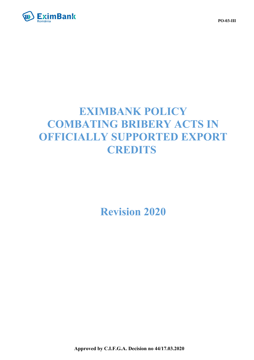

# **EXIMBANK POLICY COMBATING BRIBERY ACTS IN OFFICIALLY SUPPORTED EXPORT CREDITS**

# **Revision 2020**

**PO-03-III**

**Approved by C.I.F.G.A. Decision no 44/17.03.2020**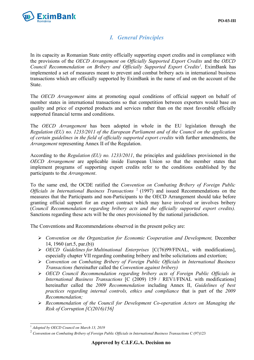

# *I. General Principles*

In its capacity as Romanian State entity officially supporting export credits and in compliance with the provisions of the *OECD Arrangement on Officially Supported Export Credits* and the *OECD Council Recommendation on Bribery and Officially Supported Export Credits[1](#page-1-0) ,* EximBank has implemented a set of measures meant to prevent and combat bribery acts in international business transactions which are officially supported by EximBank in the name of and on the account of the State.

The *OECD Arrangement* aims at promoting equal conditions of official support on behalf of member states in international transactions so that competition between exporters would base on quality and price of exported products and services rather than on the most favorable officially supported financial terms and conditions.

The *OECD Arrangement* has been adopted in whole in the EU legislation through the *Regulation (EU) no. 1233/2011 of the European Parliament and of the Council on the application of certain guidelines in the field of officially supported export credits* with further amendments, the *Arrangement* representing Annex II of the Regulation.

According to the *Regulation (EU) no. 1233/2011*, the principles and guidelines provisioned in the *OECD Arrangement* are applicable inside European Union so that the member states that implement programs of supporting export credits refer to the conditions established by the participants to the *Arrangement*.

To the same end, the OCDE ratified the *Convention on Combating Bribery of Foreign Public* Officials in International Business Transactions<sup>[2](#page-1-1)</sup> (1997) and issued Recommendations on the measures that the Participants and non-Participants to the OECD Arrangement should take before granting official support for an export contract which may have involved or involves bribery (*Council Recommendation regarding bribery acts and the officially supported export credits).* Sanctions regarding these acts will be the ones provisioned by the national jurisdiction.

The Conventions and Recommendations observed in the present policy are:

- *Convention on the Organization for Economic Cooperation and Development,* December 14, 1960 (art.5, par.(b))
- *OECD Guidelines for Multinational Enterprises* [C(76)99/FINAL, with modifications], especially chapter VII regarding combating bribery and bribe solicitations and extortion;
- *Convention on Combating Bribery of Foreign Public Officials in International Business Transactions (*hereinafter called the *Convention against bribery)*
- *OECD Council Recommendation regarding bribery acts of Foreign Public Officials in International Business Transactions* [C (2009) 159 / REV1/FINAL with modifications] hereinafter called the *2009 Recommendation* including Annex II, *Guidelines of best practices regarding internal controls, ethics and compliance* that is part of the *2009 Recommendation;*
- *Recommendation of the Council for Development Co-operation Actors on Managing the Risk of Corruption [C(2016)156]*

<span id="page-1-0"></span><sup>1</sup> *Adopted by OECD Council on March 13, 2019*

<span id="page-1-1"></span><sup>2</sup> *Convention on Combating Bribery of Foreign Public Officials in International Business Transactions* C (97)123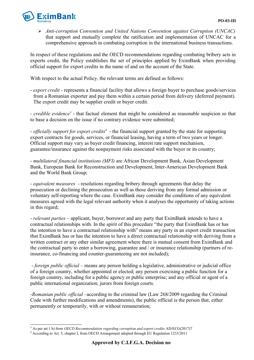

 *Anti-corruption Convention and United Nations Convention against Corruption (UNCAC)* that support and mutually complete the ratification and implementation of UNCAC for a comprehensive approach in combating corruption in the international business transactions.

In respect of these regulations and the OECD recommendations regarding combating bribery acts in exports credit, the Policy establishes the set of principles applied by EximBank when providing official support for export credits in the name of and on the account of the State.

With respect to the actual Policy*,* the relevant terms are defined as follows:

- *export credit -* represents a financial facility that allows a foreign buyer to purchase goods/services from a Romanian exporter and pay them within a certain period from delivery (deferred payment). The export credit may be supplier credit or buyer credit.

- credible evidence<sup>[3](#page-2-0)</sup> - that factual element that might be considered as reasonable suspicion so that to base a decision on the issue if no contrary evidence were submitted;

- *officially support for export credits<sup>[4](#page-2-1)</sup>* - the financial support granted by the state for supporting export contracts for goods, services, or financial leasing, having a term of two years or longer. Official support may vary as buyer credit financing, interest rate support mechanism, guarantee/insurance against the nonpayment risks associated with the buyer or its country;

- *multilateral financial institutions (MFI)* are African Development Bank, Asian Development Bank, European Bank for Reconstruction and Development, Inter-American Development Bank and the World Bank Group;

- *equivalent measures* - resolutions regarding bribery through agreements that delay the prosecution or declining the prosecution as well as those deriving from any formal admission or voluntary self-reporting where the case. EximBank may consider the conditions of any equivalent measures agreed with the legal relevant authority when it analyses the opportunity of taking actions in this regard;

- *relevant parties* – applicant, buyer, borrower and any party that EximBank intends to have a contractual relationships with. In the spirit of this procedure "the party that EximBank has or has the intention to have a contractual relationship with" means any party in an export credit transaction that EximBank has or has the intention to have a direct contractual relationship with deriving from a written contract or any other similar agreement where there is mutual consent from EximBank and the contractual party to enter a borrowing, guarantee and / or insurance relationship (partners of reinsurance, co-financing and counter-guaranteeing are not included);

 - *foreign public official –* means any person holding a legislative, administrative or judicial office of a foreign country, whether appointed or elected; any person exercising a public function for a foreign country, including for a public agency or public enterprise; and any official or agent of a public international organization; jurors from foreign courts.

-*Romanian public official* –according to the criminal law (Law 268/2009 regarding the Criminal Code with further modifications and amendments), the public official is the person that, either permanently or temporarily, with or without remuneration;

<span id="page-2-0"></span><sup>3</sup> As per art.1 h) from *OECD Recommendation regarding corruption and export credits* AD/ECG(2017)7

<span id="page-2-1"></span><sup>&</sup>lt;sup>4</sup> According to Art. 5, chapter I, from OECD Arrangement adopted through EU Regulation 1233/2011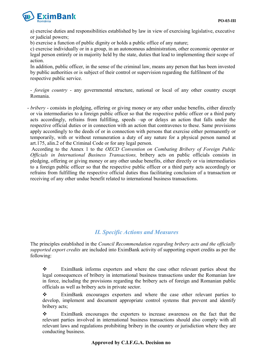

a) exercise duties and responsibilities established by law in view of exercising legislative, executive or judicial powers;

b) exercise a function of public dignity or holds a public office of any nature;

c) exercise individually or in a group, in an autonomous administration, other economic operator or legal person entirely or in majority held by the state, duties that lead to implementing their scope of action.

In addition, public officer, in the sense of the criminal law, means any person that has been invested by public authorities or is subject of their control or supervision regarding the fulfilment of the respective public service.

- *foreign country* - any governmental structure, national or local of any other country except Romania.

- *bribery* - consists in pledging, offering or giving money or any other undue benefits, either directly or via intermediaries to a foreign public officer so that the respective public officer or a third party acts accordingly, refrains from fulfilling, speeds –up or delays an action that falls under the respective official duties or in connection with an action that contravenes to these. Same provisions apply accordingly to the deeds of or in connection with persons that exercise either permanently or temporarily, with or without remuneration a duty of any nature for a physical person named at art.175, alin.2 of the Criminal Code or for any legal person.

 According to the Annex 1 to the *OECD Convention on Combating Bribery of Foreign Public Officials in International Business Transactions,* bribery acts on public officials consists in pledging, offering or giving money or any other undue benefits, either directly or via intermediaries to a foreign public officer so that the respective public officer or a third party acts accordingly or refrains from fulfilling the respective official duties thus facilitating conclusion of a transaction or receiving of any other undue benefit related to international business transactions.

## *II. Specific Actions and Measures*

The principles established in the *Council Recommendation regarding bribery acts and the officially supported export credits* are included into EximBank activity of supporting export credits as per the following:

 EximBank informs exporters and where the case other relevant parties about the legal consequences of bribery in international business transactions under the Romanian law in force, including the provisions regarding the bribery acts of foreign and Romanian public officials as well as bribery acts in private sector.

 EximBank encourages exporters and where the case other relevant parties to develop, implement and document appropriate control systems that prevent and identify bribery acts;

 EximBank encourages the exporters to increase awareness on the fact that the relevant parties involved in international business transactions should also comply with all relevant laws and regulations prohibiting bribery in the country or jurisdiction where they are conducting business.

#### **Approved by C.I.F.G.A. Decision no**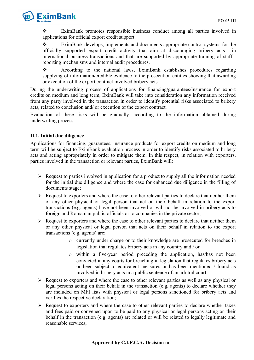

 $\mathbf{\hat{\cdot}}$  EximBank promotes responsible business conduct among all parties involved in applications for official export credit support.

 EximBank develops, implements and documents appropriate control systems for the officially supported export credit activity that aim at discouraging bribery acts in international business transactions and that are supported by appropriate training of staff , reporting mechanisms and internal audit procedures.

 According to the national laws, EximBank establishes procedures regarding supplying of information/credible evidence to the prosecution entities showing that awarding or execution of the export contract involved bribery acts.

During the underwriting process of applications for financing/guarantees/insurance for export credits on medium and long term, EximBank will take into consideration any information received from any party involved in the transaction in order to identify potential risks associated to bribery acts, related to conclusion and/ or execution of the export contract.

Evaluation of these risks will be gradually, according to the information obtained during underwriting process.

#### **II.1. Initial due diligence**

Applications for financing, guarantees, insurance products for export credits on medium and long term will be subject to EximBank evaluation process in order to identify risks associated to bribery acts and acting appropriately in order to mitigate them. In this respect, in relation with exporters, parties involved in the transaction or relevant parties, EximBank will:

- $\triangleright$  Request to parties involved in application for a product to supply all the information needed for the initial due diligence and where the case for enhanced due diligence in the filling of documents stage;
- $\triangleright$  Request to exporters and where the case to other relevant parties to declare that neither them or any other physical or legal person that act on their behalf in relation to the export transactions (e.g. agents) have not been involved or will not be involved in bribery acts to foreign and Romanian public officials or to companies in the private sector;
- $\triangleright$  Request to exporters and where the case to other relevant parties to declare that neither them or any other physical or legal person that acts on their behalf in relation to the export transactions (e.g. agents) are:
	- o currently under charge or to their knowledge are prosecuted for breaches in legislation that regulates bribery acts in any country and / or
	- o within a five-year period preceding the application, has/has not been convicted in any courts for breaching in legislation that regulates bribery acts or been subject to equivalent measures or has been mentioned / found as involved in bribery acts in a public sentence of an arbitral court.
- $\triangleright$  Request to exporters and where the case to other relevant parties as well as any physical or legal persons acting on their behalf in the transaction (e.g. agents) to declare whether they are included on MFI lists with physical or legal persons sanctioned for bribery acts and verifies the respective declaration;
- $\triangleright$  Request to exporters and where the case to other relevant parties to declare whether taxes and fees paid or convened upon to be paid to any physical or legal persons acting on their behalf in the transaction (e.g. agents) are related or will be related to legally legitimate and reasonable services;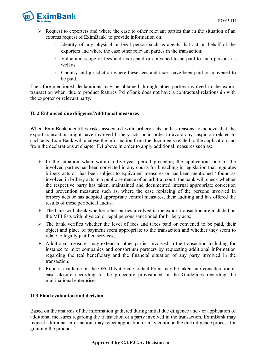

- $\triangleright$  Request to exporters and where the case to other relevant parties that in the situation of an express request of EximBank to provide information on:
	- o Identity of any physical or legal person such as agents that act on behalf of the exporters and where the case other relevant parties in the transaction;
	- o Value and scope of fees and taxes paid or convened to be paid to such persons as well as
	- o Country and jurisdiction where these fees and taxes have been paid or convened to be paid.

The afore-mentioned declarations may be obtained through other parties involved in the export transaction when, due to product features EximBank does not have a contractual relationship with the exporter or relevant party.

#### **II. 2 Enhanced due diligence/Additional measures**

When EximBank identifies risks associated with bribery acts or has reasons to believe that the export transaction might have involved bribery acts or in order to avoid any suspicion related to such acts, EximBank will analyse the information from the documents related to the application and from the declarations at chapter II.1 above in order to apply additional measures such as:

- $\triangleright$  In the situation when within a five-year period preceding the application, one of the involved parties has been convicted in any courts for breaching in legislation that regulates bribery acts or has been subject to equivalent measures or has been mentioned / found as involved in bribery acts in a public sentence of an arbitral court, the bank will check whether the respective party has taken, maintained and documented internal appropriate correction and prevention measures such as, where the case replacing of the persons involved in bribery acts or has adopted appropriate control measures, their auditing and has offered the results of these periodical audits.
- $\triangleright$  The bank will check whether other parties involved in the export transaction are included on the MFI lists with physical or legal persons sanctioned for bribery acts;
- $\triangleright$  The bank verifies whether the level of fees and taxes paid or convened to be paid, their object and place of payment seem appropriate to the transaction and whether they seem to relate to legally justified services;
- $\triangleright$  Additional measures may extend to other parties involved in the transaction including for instance to mixt companies and consortium partners by requesting additional information regarding the real beneficiary and the financial situation of any party involved in the transaction;
- $\triangleright$  Reports available on the OECD National Contact Point may be taken into consideration at case closure according to the procedure provisioned in the Guidelines regarding the multinational enterprises.

#### **II.3 Final evaluation and decision**

Based on the analysis of the information gathered during initial due diligence and / or application of additional measures regarding the transaction or a party involved in the transaction, EximBank may request additional information, may reject application or may continue the due diligence process for granting the product.

#### **Approved by C.I.F.G.A. Decision no**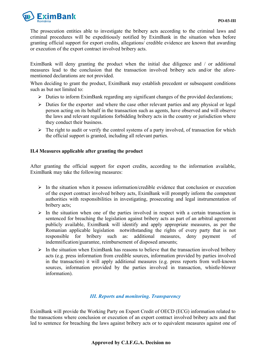

The prosecution entities able to investigate the bribery acts according to the criminal laws and criminal procedures will be expeditiously notified by EximBank in the situation when before granting official support for export credits, allegations/ credible evidence are known that awarding or execution of the export contract involved bribery acts.

EximBank will deny granting the product when the initial due diligence and / or additional measures lead to the conclusion that the transaction involved bribery acts and/or the aforementioned declarations are not provided.

When deciding to grant the product, EximBank may establish precedent or subsequent conditions such as but not limited to:

- $\triangleright$  Duties to inform EximBank regarding any significant changes of the provided declarations;
- $\triangleright$  Duties for the exporter and where the case other relevant parties and any physical or legal person acting on its behalf in the transaction such as agents, have observed and will observe the laws and relevant regulations forbidding bribery acts in the country or jurisdiction where they conduct their business.
- $\triangleright$  The right to audit or verify the control systems of a party involved, of transaction for which the official support is granted, including all relevant parties.

#### **II.4 Measures applicable after granting the product**

After granting the official support for export credits, according to the information available, EximBank may take the following measures:

- $\triangleright$  In the situation when it possess information/credible evidence that conclusion or execution of the export contract involved bribery acts, EximBank will promptly inform the competent authorities with responsibilities in investigating, prosecuting and legal instrumentation of bribery acts;
- $\triangleright$  In the situation when one of the parties involved in respect with a certain transaction is sentenced for breaching the legislation against bribery acts as part of an arbitral agreement publicly available, EximBank will identify and apply appropriate measures, as per the Romanian applicable legislation notwithstanding the rights of every party that is not responsible for bribery such as: additional measures, deny payment of indemnification/guarantee, reimbursement of disposed amounts;
- $\triangleright$  In the situation when EximBank has reasons to believe that the transaction involved bribery acts (e.g. press information from credible sources, information provided by parties involved in the transaction) it will apply additional measures (e.g. press reports from well-known sources, information provided by the parties involved in transaction, whistle-blower information).

#### *III. Reports and monitoring. Transparency*

EximBank will provide the Working Party on Export Credit of OECD (ECG) information related to the transactions where conclusion or execution of an export contract involved bribery acts and that led to sentence for breaching the laws against bribery acts or to equivalent measures against one of